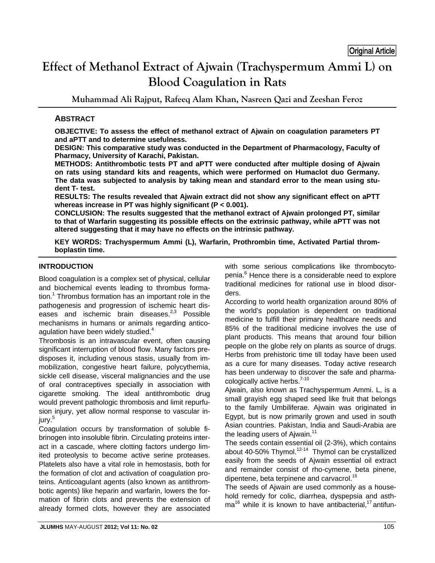# **Effect of Methanol Extract of Ajwain (Trachyspermum Ammi L) on Blood Coagulation in Rats**

**Muhammad Ali Rajput, Rafeeq Alam Khan, Nasreen Qazi and Zeeshan Feroz** 

# **ABSTRACT**

**OBJECTIVE: To assess the effect of methanol extract of Ajwain on coagulation parameters PT and aPTT and to determine usefulness.** 

**DESIGN: This comparative study was conducted in the Department of Pharmacology, Faculty of Pharmacy, University of Karachi, Pakistan.** 

**METHODS: Antithrombotic tests PT and aPTT were conducted after multiple dosing of Ajwain on rats using standard kits and reagents, which were performed on Humaclot duo Germany. The data was subjected to analysis by taking mean and standard error to the mean using student T- test.** 

**RESULTS: The results revealed that Ajwain extract did not show any significant effect on aPTT whereas increase in PT was highly significant (P < 0.001).** 

**CONCLUSION: The results suggested that the methanol extract of Ajwain prolonged PT, similar to that of Warfarin suggesting its possible effects on the extrinsic pathway, while aPTT was not altered suggesting that it may have no effects on the intrinsic pathway.** 

**KEY WORDS: Trachyspermum Ammi (L), Warfarin, Prothrombin time, Activated Partial thromboplastin time.** 

# **INTRODUCTION**

Blood coagulation is a complex set of physical, cellular and biochemical events leading to thrombus formation.<sup>1</sup> Thrombus formation has an important role in the pathogenesis and progression of ischemic heart diseases and ischemic brain diseases. $2,3$  Possible mechanisms in humans or animals regarding anticoagulation have been widely studied.<sup>4</sup>

Thrombosis is an intravascular event, often causing significant interruption of blood flow. Many factors predisposes it, including venous stasis, usually from immobilization, congestive heart failure, polycythemia, sickle cell disease, visceral malignancies and the use of oral contraceptives specially in association with cigarette smoking. The ideal antithrombotic drug would prevent pathologic thrombosis and limit repurfusion injury, yet allow normal response to vascular injury.<sup>5</sup>

Coagulation occurs by transformation of soluble fibrinogen into insoluble fibrin. Circulating proteins interact in a cascade, where clotting factors undergo limited proteolysis to become active serine proteases. Platelets also have a vital role in hemostasis, both for the formation of clot and activation of coagulation proteins. Anticoagulant agents (also known as antithrombotic agents) like heparin and warfarin, lowers the formation of fibrin clots and prevents the extension of already formed clots, however they are associated with some serious complications like thrombocytopenia.<sup>6</sup> Hence there is a considerable need to explore traditional medicines for rational use in blood disorders.

According to world health organization around 80% of the world's population is dependent on traditional medicine to fulfill their primary healthcare needs and 85% of the traditional medicine involves the use of plant products. This means that around four billion people on the globe rely on plants as source of drugs. Herbs from prehistoric time till today have been used as a cure for many diseases. Today active research has been underway to discover the safe and pharmacologically active herbs.<sup>7-10</sup>

Ajwain, also known as Trachyspermum Ammi. L, is a small grayish egg shaped seed like fruit that belongs to the family Umbiliferae. Ajwain was originated in Egypt, but is now primarily grown and used in south Asian countries. Pakistan, India and Saudi-Arabia are the leading users of Ajwain. $11$ 

The seeds contain essential oil (2-3%), which contains about 40-50% Thymol.<sup>12-14</sup> Thymol can be crystallized easily from the seeds of Ajwain essential oil extract and remainder consist of rho-cymene, beta pinene, dipentene, beta terpinene and carvacrol.<sup>15</sup>

The seeds of Ajwain are used commonly as a household remedy for colic, diarrhea, dyspepsia and asth $ma^{16}$  while it is known to have antibacterial,<sup>17</sup> antifun-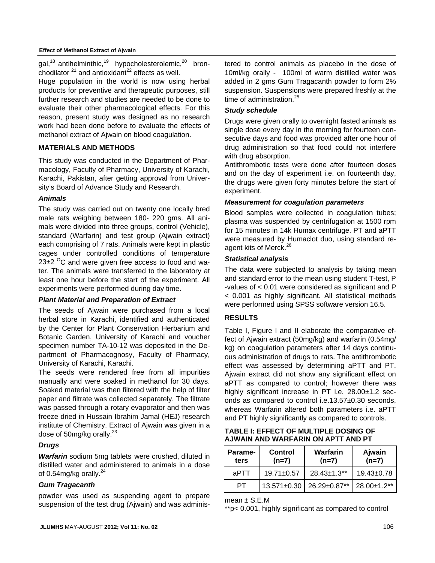#### **Effect of Methanol Extract of Ajwain**

gal,<sup>18</sup> antihelminthic,<sup>19</sup> hypocholesterolemic,<sup>20</sup> bronchodilator  $21$  and antioxidant<sup>22</sup> effects as well.

Huge population in the world is now using herbal products for preventive and therapeutic purposes, still further research and studies are needed to be done to evaluate their other pharmacological effects. For this reason, present study was designed as no research work had been done before to evaluate the effects of methanol extract of Ajwain on blood coagulation.

#### **MATERIALS AND METHODS**

This study was conducted in the Department of Pharmacology, Faculty of Pharmacy, University of Karachi, Karachi, Pakistan, after getting approval from University's Board of Advance Study and Research.

#### *Animals*

The study was carried out on twenty one locally bred male rats weighing between 180- 220 gms. All animals were divided into three groups, control (Vehicle), standard (Warfarin) and test group (Ajwain extract) each comprising of 7 rats. Animals were kept in plastic cages under controlled conditions of temperature  $23\pm2$  <sup>O</sup>C and were given free access to food and water. The animals were transferred to the laboratory at least one hour before the start of the experiment. All experiments were performed during day time.

## *Plant Material and Preparation of Extract*

The seeds of Ajwain were purchased from a local herbal store in Karachi, identified and authenticated by the Center for Plant Conservation Herbarium and Botanic Garden, University of Karachi and voucher specimen number TA-10-12 was deposited in the Department of Pharmacognosy, Faculty of Pharmacy, University of Karachi, Karachi.

The seeds were rendered free from all impurities manually and were soaked in methanol for 30 days. Soaked material was then filtered with the help of filter paper and filtrate was collected separately. The filtrate was passed through a rotary evaporator and then was freeze dried in Hussain Ibrahim Jamal (HEJ) research institute of Chemistry. Extract of Ajwain was given in a dose of 50mg/kg orally. $^{23}$ 

# *Drugs*

*Warfarin* sodium 5mg tablets were crushed, diluted in distilled water and administered to animals in a dose of 0.54mg/kg orally. $^{24}$ 

## *Gum Tragacanth*

powder was used as suspending agent to prepare suspension of the test drug (Ajwain) and was administered to control animals as placebo in the dose of 10ml/kg orally - 100ml of warm distilled water was added in 2 gms Gum Tragacanth powder to form 2% suspension. Suspensions were prepared freshly at the time of administration. $25$ 

## *Study schedule*

Drugs were given orally to overnight fasted animals as single dose every day in the morning for fourteen consecutive days and food was provided after one hour of drug administration so that food could not interfere with drug absorption.

Antithrombotic tests were done after fourteen doses and on the day of experiment i.e. on fourteenth day, the drugs were given forty minutes before the start of experiment.

#### *Measurement for coagulation parameters*

Blood samples were collected in coagulation tubes; plasma was suspended by centrifugation at 1500 rpm for 15 minutes in 14k Humax centrifuge. PT and aPTT were measured by Humaclot duo, using standard reagent kits of Merck.<sup>26</sup>

#### *Statistical analysis*

The data were subjected to analysis by taking mean and standard error to the mean using student T-test, P -values of < 0.01 were considered as significant and P < 0.001 as highly significant. All statistical methods were performed using SPSS software version 16.5.

## **RESULTS**

Table I, Figure I and II elaborate the comparative effect of Ajwain extract (50mg/kg) and warfarin (0.54mg/ kg) on coagulation parameters after 14 days continuous administration of drugs to rats. The antithrombotic effect was assessed by determining aPTT and PT. Ajwain extract did not show any significant effect on aPTT as compared to control; however there was highly significant increase in PT i.e. 28.00±1.2 seconds as compared to control i.e.13.57±0.30 seconds, whereas Warfarin altered both parameters i.e. aPTT and PT highly significantly as compared to controls.

#### **TABLE I: EFFECT OF MULTIPLE DOSING OF AJWAIN AND WARFARIN ON APTT AND PT**

| Parame-<br>ters | Control<br>$(n=7)$ | Warfarin<br>$(n=7)$ | Ajwain<br>$(n=7)$  |
|-----------------|--------------------|---------------------|--------------------|
| aPTT            | $19.71 \pm 0.57$   | $28.43 \pm 1.3**$   | $19.43 \pm 0.78$   |
| PТ              | 13.571±0.30        | 26.29±0.87**        | $28.00 \pm 1.2$ ** |

 $mean \pm S.E.M$ 

\*\*p< 0.001, highly significant as compared to control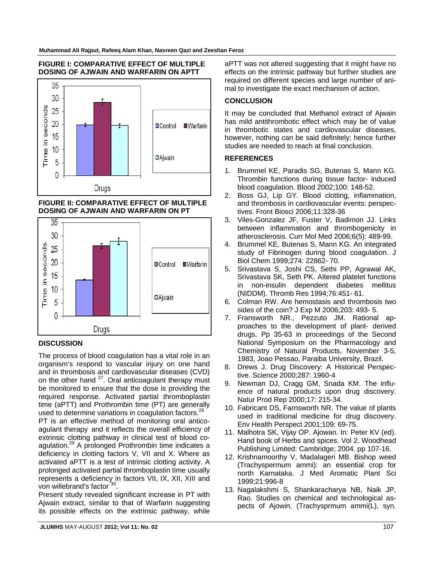#### **FIGURE I: COMPARATIVE EFFECT OF MULTIPLE DOSING OF AJWAIN AND WARFARIN ON APTT**



## **FIGURE II: COMPARATIVE EFFECT OF MULTIPLE DOSING OF AJWAIN AND WARFARIN ON PT**



## **DISCUSSION**

The process of blood coagulation has a vital role in an organism's respond to vascular injury on one hand and in thrombosis and cardiovascular diseases (CVD) on the other hand  $27$ . Oral anticoagulant therapy must be monitored to ensure that the dose is providing the required response. Activated partial thromboplastin time (aPTT) and Prothrombin time (PT) are generally used to determine variations in coagulation factors.<sup>28</sup>

PT is an effective method of monitoring oral anticoagulant therapy and it reflects the overall efficiency of extrinsic clotting pathway in clinical test of blood coagulation.29 A prolonged Prothrombin time indicates a deficiency in clotting factors V, VII and X. Where as activated aPTT is a test of intrinsic clotting activity. A prolonged activated partial thromboplastin time usually represents a deficiency in factors VII, IX, XII, XIII and von willebrand's factor<sup>30</sup>.

Present study revealed significant increase in PT with Ajwain extract, similar to that of Warfarin suggesting its possible effects on the extrinsic pathway, while aPTT was not altered suggesting that it might have no effects on the intrinsic pathway but further studies are required on different species and large number of animal to investigate the exact mechanism of action.

# **CONCLUSION**

It may be concluded that Methanol extract of Ajwain has mild antithrombotic effect which may be of value in thrombotic states and cardiovascular diseases, however, nothing can be said definitely; hence further studies are needed to reach at final conclusion.

# **REFERENCES**

- 1. Brummel KE, Paradis SG, Butenas S, Mann KG. Thrombin functions during tissue factor- induced blood coagulation. Blood 2002;100: 148-52.
- 2. Boss GJ, Lip GY. Blood clotting, inflammation, and thrombosis in cardiovascular events: perspectives. Front Biosci 2006;11:328-36
- 3. Viles-Gonzalez JF, Fuster V, Badimon JJ. Links between inflammation and thrombogenicity in atherosclerosis. Curr Mol Med 2006;6(5): 489-99.
- 4. Brummel KE, Butenas S, Mann KG. An integrated study of Fibrinogen during blood coagulation. J Biol Chem 1999;274: 22862- 70.
- 5. Srivastava S, Joshi CS, Sethi PP, Agrawal AK, Srivastava SK, Seth PK. Altered platelet functions in non-insulin dependent diabetes mellitus (NIDDM). Thromb Res 1994;76:451- 61.
- 6. Colman RW. Are hemostasis and thrombosis two sides of the coin? J Exp M 2006;203: 493- 5.
- 7. Fransworth NR., Pezzuto JM. Rational approaches to the development of plant- derived drugs. Pp 35-63 in proceedings of the Second National Symposium on the Pharmacology and Chemistry of Natural Products, November 3-5, 1983, Joao Pessao, Paraiba University, Brazil.
- 8. Drews J. Drug Discovery: A Historical Perspective. Science 2000;287: 1960-4
- 9. Newman DJ, Cragg GM, Snada KM. The influence of natural products upon drug discovery. Natur Prod Rep 2000;17: 215-34.
- 10. Fabricant DS, Farnsworth NR. The value of plants used in traditional medicine for drug discovery. Env Health Perspect 2001;109: 69-75.
- 11. Malhotra SK, Vijay OP. Ajowan. In: Peter KV (ed). Hand book of Herbs and spices. Vol 2. Woodhead Publishing Limited: Cambridge; 2004. pp 107-16.
- 12. Krishnamoorthy V, Madalageri MB. Bishop weed (Trachyspermum ammi): an essential crop for north Karnataka. J Med Aromatic Plant Sci 1999;21:996-8
- 13. Nagalakshmi S, Shankaracharya NB, Naik JP, Rao. Studies on chemical and technological aspects of Ajowin, (Trachysprmum ammi(L), syn.